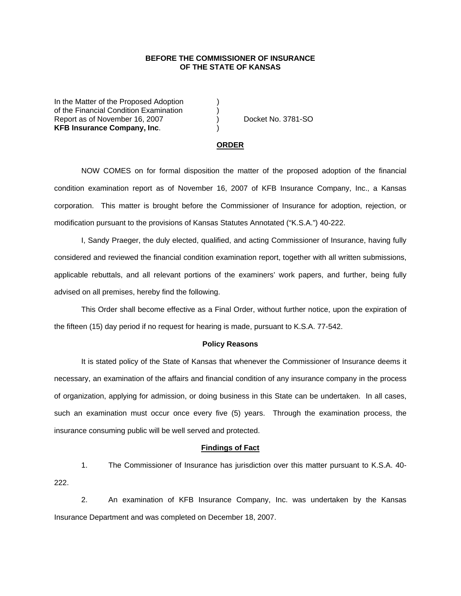# **BEFORE THE COMMISSIONER OF INSURANCE OF THE STATE OF KANSAS**

In the Matter of the Proposed Adoption of the Financial Condition Examination ) Report as of November 16, 2007 (and Separate No. 3781-SO) **KFB Insurance Company, Inc**.)

#### **ORDER**

 NOW COMES on for formal disposition the matter of the proposed adoption of the financial condition examination report as of November 16, 2007 of KFB Insurance Company, Inc., a Kansas corporation. This matter is brought before the Commissioner of Insurance for adoption, rejection, or modification pursuant to the provisions of Kansas Statutes Annotated ("K.S.A.") 40-222.

 I, Sandy Praeger, the duly elected, qualified, and acting Commissioner of Insurance, having fully considered and reviewed the financial condition examination report, together with all written submissions, applicable rebuttals, and all relevant portions of the examiners' work papers, and further, being fully advised on all premises, hereby find the following.

This Order shall become effective as a Final Order, without further notice, upon the expiration of the fifteen (15) day period if no request for hearing is made, pursuant to K.S.A. 77-542.

## **Policy Reasons**

 It is stated policy of the State of Kansas that whenever the Commissioner of Insurance deems it necessary, an examination of the affairs and financial condition of any insurance company in the process of organization, applying for admission, or doing business in this State can be undertaken. In all cases, such an examination must occur once every five (5) years. Through the examination process, the insurance consuming public will be well served and protected.

## **Findings of Fact**

 1. The Commissioner of Insurance has jurisdiction over this matter pursuant to K.S.A. 40- 222.

 2. An examination of KFB Insurance Company, Inc. was undertaken by the Kansas Insurance Department and was completed on December 18, 2007.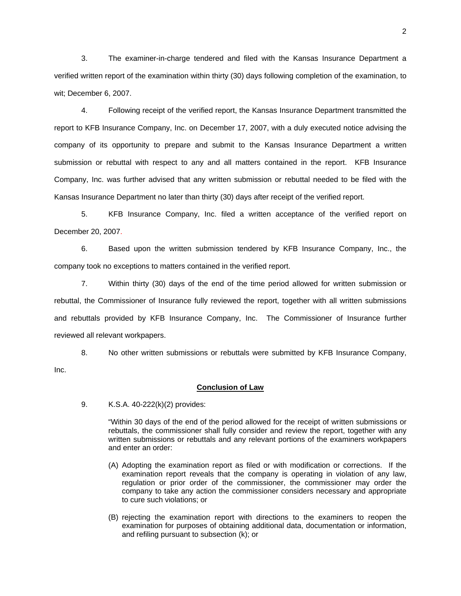3. The examiner-in-charge tendered and filed with the Kansas Insurance Department a verified written report of the examination within thirty (30) days following completion of the examination, to wit; December 6, 2007.

 4. Following receipt of the verified report, the Kansas Insurance Department transmitted the report to KFB Insurance Company, Inc. on December 17, 2007, with a duly executed notice advising the company of its opportunity to prepare and submit to the Kansas Insurance Department a written submission or rebuttal with respect to any and all matters contained in the report. KFB Insurance Company, Inc. was further advised that any written submission or rebuttal needed to be filed with the Kansas Insurance Department no later than thirty (30) days after receipt of the verified report.

 5. KFB Insurance Company, Inc. filed a written acceptance of the verified report on December 20, 2007.

6. Based upon the written submission tendered by KFB Insurance Company, Inc., the company took no exceptions to matters contained in the verified report.

 7. Within thirty (30) days of the end of the time period allowed for written submission or rebuttal, the Commissioner of Insurance fully reviewed the report, together with all written submissions and rebuttals provided by KFB Insurance Company, Inc. The Commissioner of Insurance further reviewed all relevant workpapers.

 8. No other written submissions or rebuttals were submitted by KFB Insurance Company, Inc.

### **Conclusion of Law**

9. K.S.A. 40-222(k)(2) provides:

"Within 30 days of the end of the period allowed for the receipt of written submissions or rebuttals, the commissioner shall fully consider and review the report, together with any written submissions or rebuttals and any relevant portions of the examiners workpapers and enter an order:

- (A) Adopting the examination report as filed or with modification or corrections. If the examination report reveals that the company is operating in violation of any law, regulation or prior order of the commissioner, the commissioner may order the company to take any action the commissioner considers necessary and appropriate to cure such violations; or
- (B) rejecting the examination report with directions to the examiners to reopen the examination for purposes of obtaining additional data, documentation or information, and refiling pursuant to subsection (k); or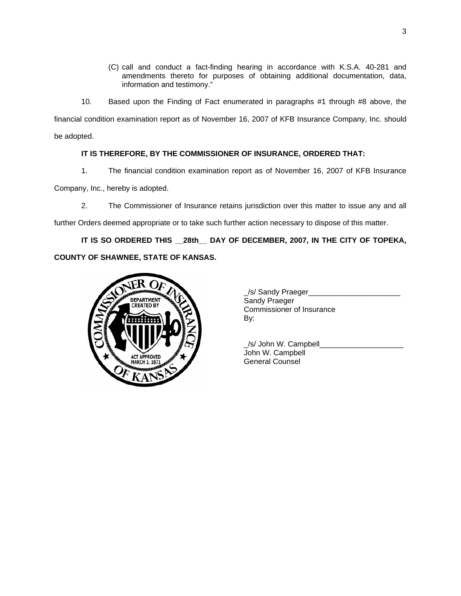- (C) call and conduct a fact-finding hearing in accordance with K.S.A. 40-281 and amendments thereto for purposes of obtaining additional documentation, data, information and testimony."
- 10. Based upon the Finding of Fact enumerated in paragraphs #1 through #8 above, the

financial condition examination report as of November 16, 2007 of KFB Insurance Company, Inc. should be adopted.

**IT IS THEREFORE, BY THE COMMISSIONER OF INSURANCE, ORDERED THAT:** 

1. The financial condition examination report as of November 16, 2007 of KFB Insurance

Company, Inc., hereby is adopted.

2. The Commissioner of Insurance retains jurisdiction over this matter to issue any and all

further Orders deemed appropriate or to take such further action necessary to dispose of this matter.

**IT IS SO ORDERED THIS \_\_28th\_\_ DAY OF DECEMBER, 2007, IN THE CITY OF TOPEKA, COUNTY OF SHAWNEE, STATE OF KANSAS.** 



| .<br><b>DEPARTMENT</b><br><b>CREATED BY</b> | S/ Sandy Praeger<br>Sandy Praeger<br>Commissioner of Insurance<br>By: |
|---------------------------------------------|-----------------------------------------------------------------------|
|                                             |                                                                       |

 \_/s/ John W. Campbell\_\_\_\_\_\_\_\_\_\_\_\_\_\_\_\_\_\_\_\_ John W. Campbell General Counsel